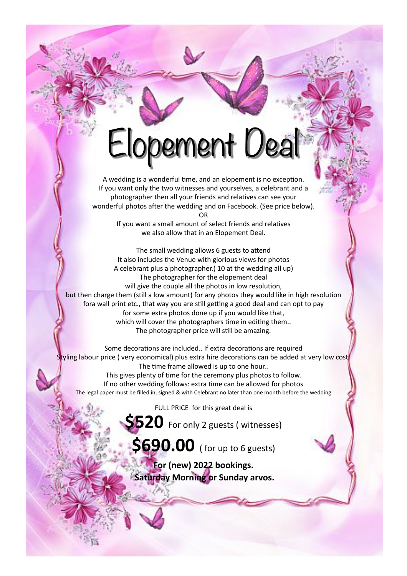## Elopement Deal

A wedding is a wonderful time, and an elopement is no exception. If you want only the two witnesses and yourselves, a celebrant and a photographer then all your friends and relatives can see your wonderful photos after the wedding and on Facebook. (See price below). OR

> If you want a small amount of select friends and relatives we also allow that in an Elopement Deal.

The small wedding allows 6 guests to attend It also includes the Venue with glorious views for photos A celebrant plus a photographer.( 10 at the wedding all up) The photographer for the elopement deal will give the couple all the photos in low resolution, but then charge them (still a low amount) for any photos they would like in high resolution fora wall print etc., that way you are still getting a good deal and can opt to pay for some extra photos done up if you would like that, which will cover the photographers time in editing them.. The photographer price will still be amazing.

Some decorations are included.. If extra decorations are required Styling labour price (very economical) plus extra hire decorations can be added at very low cost. The time frame allowed is up to one hour.. This gives plenty of time for the ceremony plus photos to follow. If no other wedding follows: extra time can be allowed for photos The legal paper must be filled in, signed & with Celebrant no later than one month before the wedding

FULL PRICE for this great deal is

**\$520** For only 2 guests ( witnesses)

**\$690.00** ( for up to 6 guests)

**For (new) 2022 bookings. Saturday Morning or Sunday arvos.**